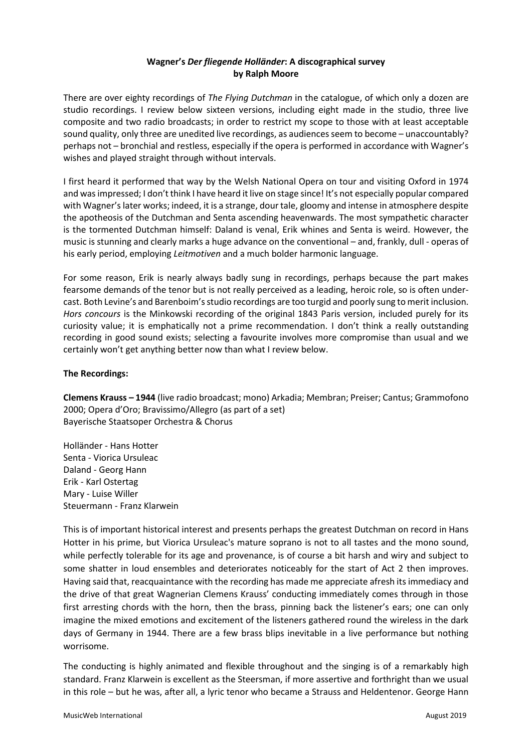# **Wagner's** *Der fliegende Holländer***: A discographical survey by Ralph Moore**

There are over eighty recordings of *The Flying Dutchman* in the catalogue, of which only a dozen are studio recordings. I review below sixteen versions, including eight made in the studio, three live composite and two radio broadcasts; in order to restrict my scope to those with at least acceptable sound quality, only three are unedited live recordings, as audiences seem to become – unaccountably? perhaps not – bronchial and restless, especially if the opera is performed in accordance with Wagner's wishes and played straight through without intervals.

I first heard it performed that way by the Welsh National Opera on tour and visiting Oxford in 1974 and was impressed; I don't think I have heard it live on stage since! It's not especially popular compared with Wagner's later works; indeed, it is a strange, dour tale, gloomy and intense in atmosphere despite the apotheosis of the Dutchman and Senta ascending heavenwards. The most sympathetic character is the tormented Dutchman himself: Daland is venal, Erik whines and Senta is weird. However, the music is stunning and clearly marks a huge advance on the conventional – and, frankly, dull - operas of his early period, employing *Leitmotiven* and a much bolder harmonic language.

For some reason, Erik is nearly always badly sung in recordings, perhaps because the part makes fearsome demands of the tenor but is not really perceived as a leading, heroic role, so is often undercast. Both Levine's and Barenboim's studio recordings are too turgid and poorly sung to merit inclusion. *Hors concours* is the Minkowski recording of the original 1843 Paris version, included purely for its curiosity value; it is emphatically not a prime recommendation. I don't think a really outstanding recording in good sound exists; selecting a favourite involves more compromise than usual and we certainly won't get anything better now than what I review below.

## **The Recordings:**

**Clemens Krauss – 1944** (live radio broadcast; mono) Arkadia; Membran; Preiser; Cantus; Grammofono 2000; Opera d'Oro; Bravissimo/Allegro (as part of a set) Bayerische Staatsoper Orchestra & Chorus

Holländer - Hans Hotter Senta - Viorica Ursuleac Daland - Georg Hann Erik - Karl Ostertag Mary - Luise Willer Steuermann - Franz Klarwein

This is of important historical interest and presents perhaps the greatest Dutchman on record in Hans Hotter in his prime, but Viorica Ursuleac's mature soprano is not to all tastes and the mono sound, while perfectly tolerable for its age and provenance, is of course a bit harsh and wiry and subject to some shatter in loud ensembles and deteriorates noticeably for the start of Act 2 then improves. Having said that, reacquaintance with the recording has made me appreciate afresh its immediacy and the drive of that great Wagnerian Clemens Krauss' conducting immediately comes through in those first arresting chords with the horn, then the brass, pinning back the listener's ears; one can only imagine the mixed emotions and excitement of the listeners gathered round the wireless in the dark days of Germany in 1944. There are a few brass blips inevitable in a live performance but nothing worrisome.

The conducting is highly animated and flexible throughout and the singing is of a remarkably high standard. Franz Klarwein is excellent as the Steersman, if more assertive and forthright than we usual in this role – but he was, after all, a lyric tenor who became a Strauss and Heldentenor. George Hann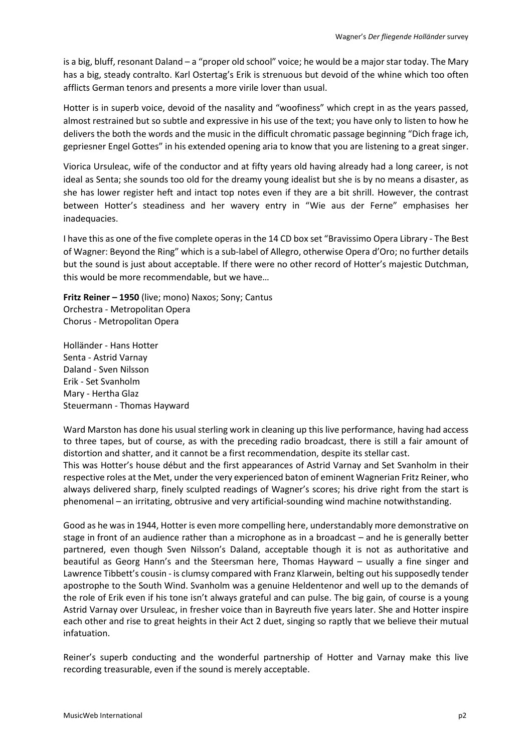is a big, bluff, resonant Daland – a "proper old school" voice; he would be a major star today. The Mary has a big, steady contralto. Karl Ostertag's Erik is strenuous but devoid of the whine which too often afflicts German tenors and presents a more virile lover than usual.

Hotter is in superb voice, devoid of the nasality and "woofiness" which crept in as the years passed, almost restrained but so subtle and expressive in his use of the text; you have only to listen to how he delivers the both the words and the music in the difficult chromatic passage beginning "Dich frage ich, gepriesner Engel Gottes" in his extended opening aria to know that you are listening to a great singer.

Viorica Ursuleac, wife of the conductor and at fifty years old having already had a long career, is not ideal as Senta; she sounds too old for the dreamy young idealist but she is by no means a disaster, as she has lower register heft and intact top notes even if they are a bit shrill. However, the contrast between Hotter's steadiness and her wavery entry in "Wie aus der Ferne" emphasises her inadequacies.

I have this as one of the five complete operas in the 14 CD box set "Bravissimo Opera Library - The Best of Wagner: Beyond the Ring" which is a sub-label of Allegro, otherwise Opera d'Oro; no further details but the sound is just about acceptable. If there were no other record of Hotter's majestic Dutchman, this would be more recommendable, but we have…

**Fritz Reiner – 1950** (live; mono) Naxos; Sony; Cantus Orchestra - Metropolitan Opera Chorus - Metropolitan Opera

Holländer - Hans Hotter Senta - Astrid Varnay Daland - Sven Nilsson Erik - Set Svanholm Mary - Hertha Glaz Steuermann - Thomas Hayward

Ward Marston has done his usual sterling work in cleaning up this live performance, having had access to three tapes, but of course, as with the preceding radio broadcast, there is still a fair amount of distortion and shatter, and it cannot be a first recommendation, despite its stellar cast. This was Hotter's house début and the first appearances of Astrid Varnay and Set Svanholm in their respective roles at the Met, under the very experienced baton of eminent Wagnerian Fritz Reiner, who always delivered sharp, finely sculpted readings of Wagner's scores; his drive right from the start is phenomenal – an irritating, obtrusive and very artificial-sounding wind machine notwithstanding.

Good as he was in 1944, Hotter is even more compelling here, understandably more demonstrative on stage in front of an audience rather than a microphone as in a broadcast – and he is generally better partnered, even though Sven Nilsson's Daland, acceptable though it is not as authoritative and beautiful as Georg Hann's and the Steersman here, Thomas Hayward – usually a fine singer and Lawrence Tibbett's cousin - is clumsy compared with Franz Klarwein, belting out his supposedly tender apostrophe to the South Wind. Svanholm was a genuine Heldentenor and well up to the demands of the role of Erik even if his tone isn't always grateful and can pulse. The big gain, of course is a young Astrid Varnay over Ursuleac, in fresher voice than in Bayreuth five years later. She and Hotter inspire each other and rise to great heights in their Act 2 duet, singing so raptly that we believe their mutual infatuation.

Reiner's superb conducting and the wonderful partnership of Hotter and Varnay make this live recording treasurable, even if the sound is merely acceptable.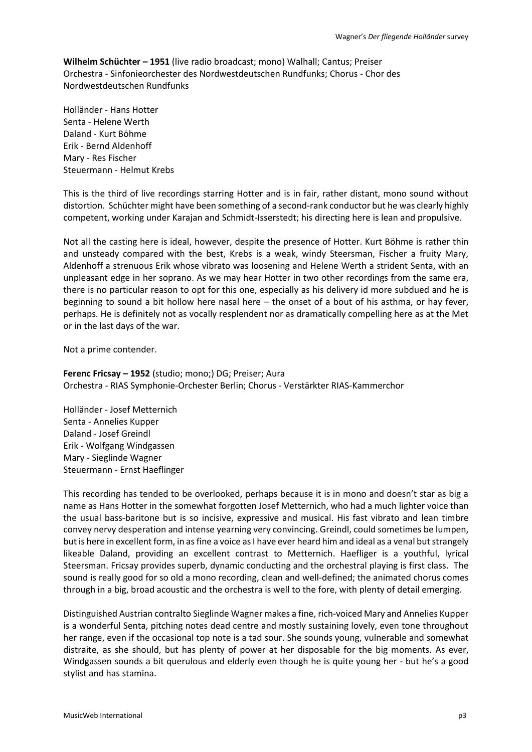**Wilhelm Schüchter – 1951** (live radio broadcast; mono) Walhall; Cantus; Preiser Orchestra - Sinfonieorchester des Nordwestdeutschen Rundfunks; Chorus - Chor des Nordwestdeutschen Rundfunks

Holländer - Hans Hotter Senta - Helene Werth Daland - Kurt Böhme Erik - Bernd Aldenhoff Mary - Res Fischer Steuermann - Helmut Krebs

This is the third of live recordings starring Hotter and is in fair, rather distant, mono sound without distortion. Schüchter might have been something of a second-rank conductor but he was clearly highly competent, working under Karajan and Schmidt-Isserstedt; his directing here is lean and propulsive.

Not all the casting here is ideal, however, despite the presence of Hotter. Kurt Böhme is rather thin and unsteady compared with the best, Krebs is a weak, windy Steersman, Fischer a fruity Mary, Aldenhoff a strenuous Erik whose vibrato was loosening and Helene Werth a strident Senta, with an unpleasant edge in her soprano. As we may hear Hotter in two other recordings from the same era, there is no particular reason to opt for this one, especially as his delivery id more subdued and he is beginning to sound a bit hollow here nasal here – the onset of a bout of his asthma, or hay fever, perhaps. He is definitely not as vocally resplendent nor as dramatically compelling here as at the Met or in the last days of the war.

Not a prime contender.

## **Ferenc Fricsay – 1952** (studio; mono;) DG; Preiser; Aura Orchestra - RIAS Symphonie-Orchester Berlin; Chorus - Verstärkter RIAS-Kammerchor

Holländer - Josef Metternich Senta - Annelies Kupper Daland - Josef Greindl Erik - Wolfgang Windgassen Mary - Sieglinde Wagner Steuermann - Ernst Haeflinger

This recording has tended to be overlooked, perhaps because it is in mono and doesn't star as big a name as Hans Hotter in the somewhat forgotten Josef Metternich, who had a much lighter voice than the usual bass-baritone but is so incisive, expressive and musical. His fast vibrato and lean timbre convey nervy desperation and intense yearning very convincing. Greindl, could sometimes be lumpen, but is here in excellent form, in as fine a voice as I have ever heard him and ideal as a venal but strangely likeable Daland, providing an excellent contrast to Metternich. Haefliger is a youthful, lyrical Steersman. Fricsay provides superb, dynamic conducting and the orchestral playing is first class. The sound is really good for so old a mono recording, clean and well-defined; the animated chorus comes through in a big, broad acoustic and the orchestra is well to the fore, with plenty of detail emerging.

Distinguished Austrian contralto Sieglinde Wagner makes a fine, rich-voiced Mary and Annelies Kupper is a wonderful Senta, pitching notes dead centre and mostly sustaining lovely, even tone throughout her range, even if the occasional top note is a tad sour. She sounds young, vulnerable and somewhat distraite, as she should, but has plenty of power at her disposable for the big moments. As ever, Windgassen sounds a bit querulous and elderly even though he is quite young her - but he's a good stylist and has stamina.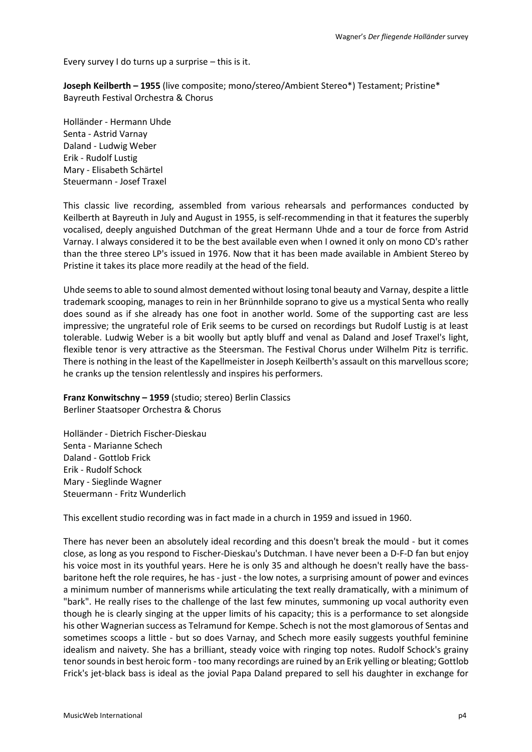Every survey I do turns up a surprise – this is it.

**Joseph Keilberth – 1955** (live composite; mono/stereo/Ambient Stereo\*) Testament; Pristine\* Bayreuth Festival Orchestra & Chorus

Holländer - Hermann Uhde Senta - Astrid Varnay Daland - Ludwig Weber Erik - Rudolf Lustig Mary - Elisabeth Schärtel Steuermann - Josef Traxel

This classic live recording, assembled from various rehearsals and performances conducted by Keilberth at Bayreuth in July and August in 1955, is self-recommending in that it features the superbly vocalised, deeply anguished Dutchman of the great Hermann Uhde and a tour de force from Astrid Varnay. I always considered it to be the best available even when I owned it only on mono CD's rather than the three stereo LP's issued in 1976. Now that it has been made available in Ambient Stereo by Pristine it takes its place more readily at the head of the field.

Uhde seems to able to sound almost demented without losing tonal beauty and Varnay, despite a little trademark scooping, manages to rein in her Brünnhilde soprano to give us a mystical Senta who really does sound as if she already has one foot in another world. Some of the supporting cast are less impressive; the ungrateful role of Erik seems to be cursed on recordings but Rudolf Lustig is at least tolerable. Ludwig Weber is a bit woolly but aptly bluff and venal as Daland and Josef Traxel's light, flexible tenor is very attractive as the Steersman. The Festival Chorus under Wilhelm Pitz is terrific. There is nothing in the least of the Kapellmeister in Joseph Keilberth's assault on this marvellous score; he cranks up the tension relentlessly and inspires his performers.

**Franz Konwitschny – 1959** (studio; stereo) Berlin Classics Berliner Staatsoper Orchestra & Chorus

Holländer - Dietrich Fischer-Dieskau Senta - Marianne Schech Daland - Gottlob Frick Erik - Rudolf Schock Mary - Sieglinde Wagner Steuermann - Fritz Wunderlich

This excellent studio recording was in fact made in a church in 1959 and issued in 1960.

There has never been an absolutely ideal recording and this doesn't break the mould - but it comes close, as long as you respond to Fischer-Dieskau's Dutchman. I have never been a D-F-D fan but enjoy his voice most in its youthful years. Here he is only 35 and although he doesn't really have the bassbaritone heft the role requires, he has - just - the low notes, a surprising amount of power and evinces a minimum number of mannerisms while articulating the text really dramatically, with a minimum of "bark". He really rises to the challenge of the last few minutes, summoning up vocal authority even though he is clearly singing at the upper limits of his capacity; this is a performance to set alongside his other Wagnerian success as Telramund for Kempe. Schech is not the most glamorous of Sentas and sometimes scoops a little - but so does Varnay, and Schech more easily suggests youthful feminine idealism and naivety. She has a brilliant, steady voice with ringing top notes. Rudolf Schock's grainy tenor sounds in best heroic form - too many recordings are ruined by an Erik yelling or bleating; Gottlob Frick's jet-black bass is ideal as the jovial Papa Daland prepared to sell his daughter in exchange for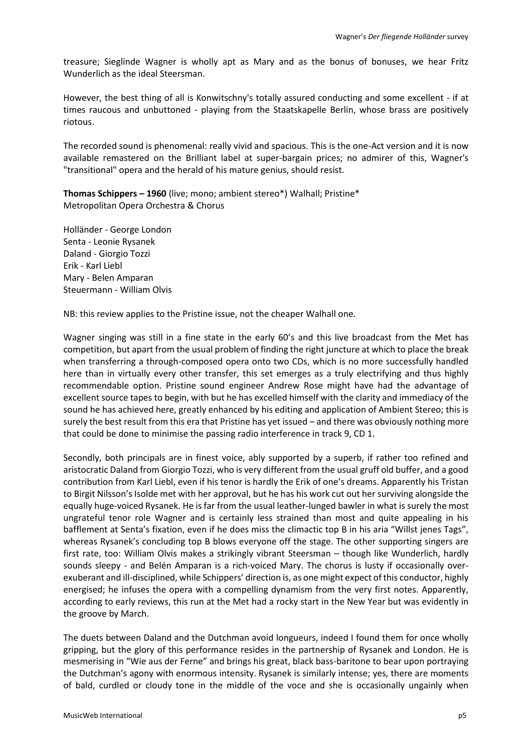treasure; Sieglinde Wagner is wholly apt as Mary and as the bonus of bonuses, we hear Fritz Wunderlich as the ideal Steersman.

However, the best thing of all is Konwitschny's totally assured conducting and some excellent - if at times raucous and unbuttoned - playing from the Staatskapelle Berlin, whose brass are positively riotous.

The recorded sound is phenomenal: really vivid and spacious. This is the one-Act version and it is now available remastered on the Brilliant label at super-bargain prices; no admirer of this, Wagner's "transitional" opera and the herald of his mature genius, should resist.

**Thomas Schippers – 1960** (live; mono; ambient stereo\*) Walhall; Pristine\* Metropolitan Opera Orchestra & Chorus

Holländer - George London Senta - Leonie Rysanek Daland - Giorgio Tozzi Erik - Karl Liebl Mary - Belen Amparan Steuermann - William Olvis

NB: this review applies to the Pristine issue, not the cheaper Walhall one.

Wagner singing was still in a fine state in the early 60's and this live broadcast from the Met has competition, but apart from the usual problem of finding the right juncture at which to place the break when transferring a through-composed opera onto two CDs, which is no more successfully handled here than in virtually every other transfer, this set emerges as a truly electrifying and thus highly recommendable option. Pristine sound engineer Andrew Rose might have had the advantage of excellent source tapes to begin, with but he has excelled himself with the clarity and immediacy of the sound he has achieved here, greatly enhanced by his editing and application of Ambient Stereo; this is surely the best result from this era that Pristine has yet issued – and there was obviously nothing more that could be done to minimise the passing radio interference in track 9, CD 1.

Secondly, both principals are in finest voice, ably supported by a superb, if rather too refined and aristocratic Daland from Giorgio Tozzi, who is very different from the usual gruff old buffer, and a good contribution from Karl Liebl, even if his tenor is hardly the Erik of one's dreams. Apparently his Tristan to Birgit Nilsson's Isolde met with her approval, but he has his work cut out her surviving alongside the equally huge-voiced Rysanek. He is far from the usual leather-lunged bawler in what is surely the most ungrateful tenor role Wagner and is certainly less strained than most and quite appealing in his bafflement at Senta's fixation, even if he does miss the climactic top B in his aria "Willst jenes Tags", whereas Rysanek's concluding top B blows everyone off the stage. The other supporting singers are first rate, too: William Olvis makes a strikingly vibrant Steersman – though like Wunderlich, hardly sounds sleepy - and Belén Amparan is a rich-voiced Mary. The chorus is lusty if occasionally overexuberant and ill-disciplined, while Schippers' direction is, as one might expect of this conductor, highly energised; he infuses the opera with a compelling dynamism from the very first notes. Apparently, according to early reviews, this run at the Met had a rocky start in the New Year but was evidently in the groove by March.

The duets between Daland and the Dutchman avoid longueurs, indeed I found them for once wholly gripping, but the glory of this performance resides in the partnership of Rysanek and London. He is mesmerising in "Wie aus der Ferne" and brings his great, black bass-baritone to bear upon portraying the Dutchman's agony with enormous intensity. Rysanek is similarly intense; yes, there are moments of bald, curdled or cloudy tone in the middle of the voce and she is occasionally ungainly when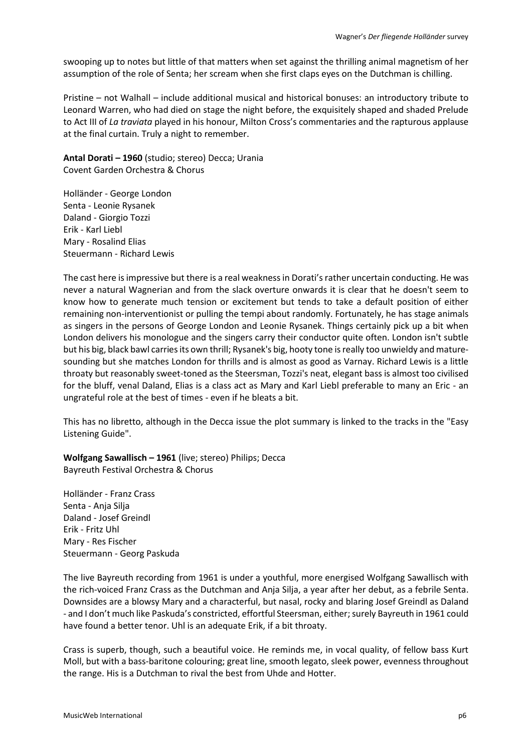swooping up to notes but little of that matters when set against the thrilling animal magnetism of her assumption of the role of Senta; her scream when she first claps eyes on the Dutchman is chilling.

Pristine – not Walhall – include additional musical and historical bonuses: an introductory tribute to Leonard Warren, who had died on stage the night before, the exquisitely shaped and shaded Prelude to Act III of *La traviata* played in his honour, Milton Cross's commentaries and the rapturous applause at the final curtain. Truly a night to remember.

**Antal Dorati – 1960** (studio; stereo) Decca; Urania Covent Garden Orchestra & Chorus

Holländer - George London Senta - Leonie Rysanek Daland - Giorgio Tozzi Erik - Karl Liebl Mary - Rosalind Elias Steuermann - Richard Lewis

The cast here is impressive but there is a real weakness in Dorati's rather uncertain conducting. He was never a natural Wagnerian and from the slack overture onwards it is clear that he doesn't seem to know how to generate much tension or excitement but tends to take a default position of either remaining non-interventionist or pulling the tempi about randomly. Fortunately, he has stage animals as singers in the persons of George London and Leonie Rysanek. Things certainly pick up a bit when London delivers his monologue and the singers carry their conductor quite often. London isn't subtle but his big, black bawl carries its own thrill; Rysanek's big, hooty tone is really too unwieldy and maturesounding but she matches London for thrills and is almost as good as Varnay. Richard Lewis is a little throaty but reasonably sweet-toned as the Steersman, Tozzi's neat, elegant bass is almost too civilised for the bluff, venal Daland, Elias is a class act as Mary and Karl Liebl preferable to many an Eric - an ungrateful role at the best of times - even if he bleats a bit.

This has no libretto, although in the Decca issue the plot summary is linked to the tracks in the "Easy Listening Guide".

**Wolfgang Sawallisch – 1961** (live; stereo) Philips; Decca Bayreuth Festival Orchestra & Chorus

Holländer - Franz Crass Senta - Anja Silja Daland - Josef Greindl Erik - Fritz Uhl Mary - Res Fischer Steuermann - Georg Paskuda

The live Bayreuth recording from 1961 is under a youthful, more energised Wolfgang Sawallisch with the rich-voiced Franz Crass as the Dutchman and Anja Silja, a year after her debut, as a febrile Senta. Downsides are a blowsy Mary and a characterful, but nasal, rocky and blaring Josef Greindl as Daland - and I don't much like Paskuda's constricted, effortful Steersman, either; surely Bayreuth in 1961 could have found a better tenor. Uhl is an adequate Erik, if a bit throaty.

Crass is superb, though, such a beautiful voice. He reminds me, in vocal quality, of fellow bass Kurt Moll, but with a bass-baritone colouring; great line, smooth legato, sleek power, evenness throughout the range. His is a Dutchman to rival the best from Uhde and Hotter.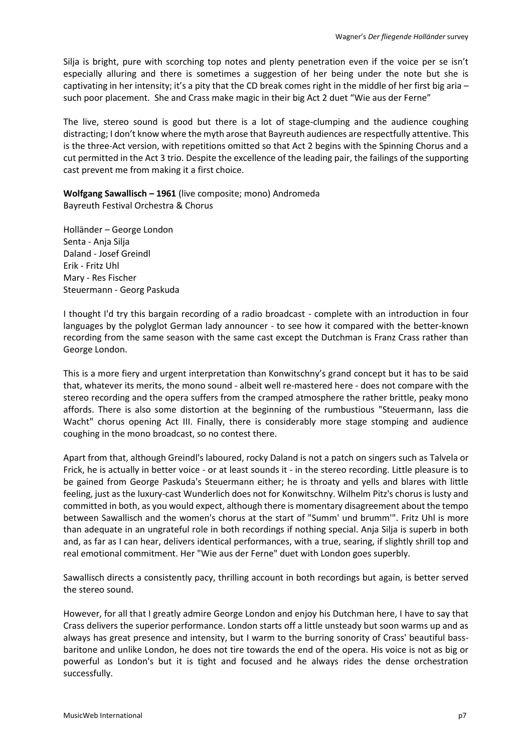Silja is bright, pure with scorching top notes and plenty penetration even if the voice per se isn't especially alluring and there is sometimes a suggestion of her being under the note but she is captivating in her intensity; it's a pity that the CD break comes right in the middle of her first big aria – such poor placement. She and Crass make magic in their big Act 2 duet "Wie aus der Ferne"

The live, stereo sound is good but there is a lot of stage-clumping and the audience coughing distracting; I don't know where the myth arose that Bayreuth audiences are respectfully attentive. This is the three-Act version, with repetitions omitted so that Act 2 begins with the Spinning Chorus and a cut permitted in the Act 3 trio. Despite the excellence of the leading pair, the failings of the supporting cast prevent me from making it a first choice.

**Wolfgang Sawallisch – 1961** (live composite; mono) Andromeda Bayreuth Festival Orchestra & Chorus

Holländer – George London Senta - Anja Silja Daland - Josef Greindl Erik - Fritz Uhl Mary - Res Fischer Steuermann - Georg Paskuda

I thought I'd try this bargain recording of a radio broadcast - complete with an introduction in four languages by the polyglot German lady announcer - to see how it compared with the better-known recording from the same season with the same cast except the Dutchman is Franz Crass rather than George London.

This is a more fiery and urgent interpretation than Konwitschny's grand concept but it has to be said that, whatever its merits, the mono sound - albeit well re-mastered here - does not compare with the stereo recording and the opera suffers from the cramped atmosphere the rather brittle, peaky mono affords. There is also some distortion at the beginning of the rumbustious "Steuermann, lass die Wacht" chorus opening Act III. Finally, there is considerably more stage stomping and audience coughing in the mono broadcast, so no contest there.

Apart from that, although Greindl's laboured, rocky Daland is not a patch on singers such as Talvela or Frick, he is actually in better voice - or at least sounds it - in the stereo recording. Little pleasure is to be gained from George Paskuda's Steuermann either; he is throaty and yells and blares with little feeling, just as the luxury-cast Wunderlich does not for Konwitschny. Wilhelm Pitz's chorus is lusty and committed in both, as you would expect, although there is momentary disagreement about the tempo between Sawallisch and the women's chorus at the start of "Summ' und brumm'". Fritz Uhl is more than adequate in an ungrateful role in both recordings if nothing special. Anja Silja is superb in both and, as far as I can hear, delivers identical performances, with a true, searing, if slightly shrill top and real emotional commitment. Her "Wie aus der Ferne" duet with London goes superbly.

Sawallisch directs a consistently pacy, thrilling account in both recordings but again, is better served the stereo sound.

However, for all that I greatly admire George London and enjoy his Dutchman here, I have to say that Crass delivers the superior performance. London starts off a little unsteady but soon warms up and as always has great presence and intensity, but I warm to the burring sonority of Crass' beautiful bassbaritone and unlike London, he does not tire towards the end of the opera. His voice is not as big or powerful as London's but it is tight and focused and he always rides the dense orchestration successfully.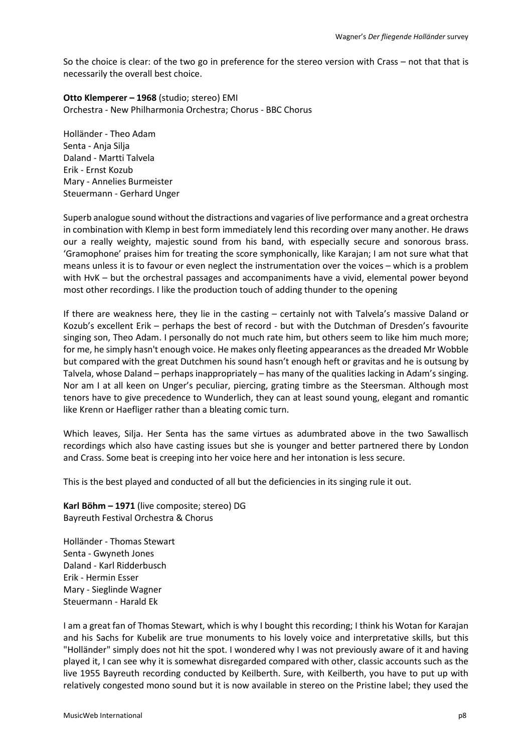So the choice is clear: of the two go in preference for the stereo version with Crass – not that that is necessarily the overall best choice.

**Otto Klemperer – 1968** (studio; stereo) EMI Orchestra - New Philharmonia Orchestra; Chorus - BBC Chorus

Holländer - Theo Adam Senta - Anja Silja Daland - Martti Talvela Erik - Ernst Kozub Mary - Annelies Burmeister Steuermann - Gerhard Unger

Superb analogue sound without the distractions and vagaries of live performance and a great orchestra in combination with Klemp in best form immediately lend this recording over many another. He draws our a really weighty, majestic sound from his band, with especially secure and sonorous brass. 'Gramophone' praises him for treating the score symphonically, like Karajan; I am not sure what that means unless it is to favour or even neglect the instrumentation over the voices – which is a problem with HvK – but the orchestral passages and accompaniments have a vivid, elemental power beyond most other recordings. I like the production touch of adding thunder to the opening

If there are weakness here, they lie in the casting – certainly not with Talvela's massive Daland or Kozub's excellent Erik – perhaps the best of record - but with the Dutchman of Dresden's favourite singing son, Theo Adam. I personally do not much rate him, but others seem to like him much more; for me, he simply hasn't enough voice. He makes only fleeting appearances as the dreaded Mr Wobble but compared with the great Dutchmen his sound hasn't enough heft or gravitas and he is outsung by Talvela, whose Daland – perhaps inappropriately – has many of the qualities lacking in Adam's singing. Nor am I at all keen on Unger's peculiar, piercing, grating timbre as the Steersman. Although most tenors have to give precedence to Wunderlich, they can at least sound young, elegant and romantic like Krenn or Haefliger rather than a bleating comic turn.

Which leaves, Silja. Her Senta has the same virtues as adumbrated above in the two Sawallisch recordings which also have casting issues but she is younger and better partnered there by London and Crass. Some beat is creeping into her voice here and her intonation is less secure.

This is the best played and conducted of all but the deficiencies in its singing rule it out.

**Karl Böhm – 1971** (live composite; stereo) DG Bayreuth Festival Orchestra & Chorus

Holländer - Thomas Stewart Senta - Gwyneth Jones Daland - Karl Ridderbusch Erik - Hermin Esser Mary - Sieglinde Wagner Steuermann - Harald Ek

I am a great fan of Thomas Stewart, which is why I bought this recording; I think his Wotan for Karajan and his Sachs for Kubelik are true monuments to his lovely voice and interpretative skills, but this "Holländer" simply does not hit the spot. I wondered why I was not previously aware of it and having played it, I can see why it is somewhat disregarded compared with other, classic accounts such as the live 1955 Bayreuth recording conducted by Keilberth. Sure, with Keilberth, you have to put up with relatively congested mono sound but it is now available in stereo on the Pristine label; they used the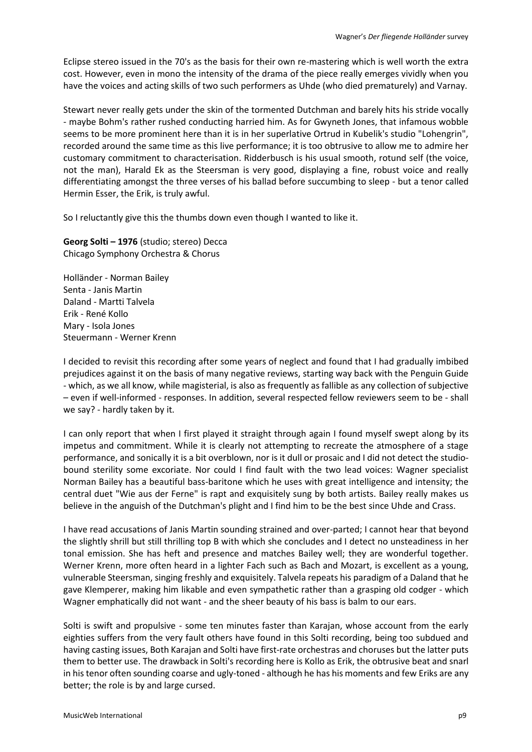Eclipse stereo issued in the 70's as the basis for their own re-mastering which is well worth the extra cost. However, even in mono the intensity of the drama of the piece really emerges vividly when you have the voices and acting skills of two such performers as Uhde (who died prematurely) and Varnay.

Stewart never really gets under the skin of the tormented Dutchman and barely hits his stride vocally - maybe Bohm's rather rushed conducting harried him. As for Gwyneth Jones, that infamous wobble seems to be more prominent here than it is in her superlative Ortrud in Kubelik's studio "Lohengrin", recorded around the same time as this live performance; it is too obtrusive to allow me to admire her customary commitment to characterisation. Ridderbusch is his usual smooth, rotund self (the voice, not the man), Harald Ek as the Steersman is very good, displaying a fine, robust voice and really differentiating amongst the three verses of his ballad before succumbing to sleep - but a tenor called Hermin Esser, the Erik, is truly awful.

So I reluctantly give this the thumbs down even though I wanted to like it.

**Georg Solti – 1976** (studio; stereo) Decca Chicago Symphony Orchestra & Chorus

Holländer - Norman Bailey Senta - Janis Martin Daland - Martti Talvela Erik - René Kollo Mary - Isola Jones Steuermann - Werner Krenn

I decided to revisit this recording after some years of neglect and found that I had gradually imbibed prejudices against it on the basis of many negative reviews, starting way back with the Penguin Guide - which, as we all know, while magisterial, is also as frequently as fallible as any collection of subjective – even if well-informed - responses. In addition, several respected fellow reviewers seem to be - shall we say? - hardly taken by it.

I can only report that when I first played it straight through again I found myself swept along by its impetus and commitment. While it is clearly not attempting to recreate the atmosphere of a stage performance, and sonically it is a bit overblown, nor is it dull or prosaic and I did not detect the studiobound sterility some excoriate. Nor could I find fault with the two lead voices: Wagner specialist Norman Bailey has a beautiful bass-baritone which he uses with great intelligence and intensity; the central duet "Wie aus der Ferne" is rapt and exquisitely sung by both artists. Bailey really makes us believe in the anguish of the Dutchman's plight and I find him to be the best since Uhde and Crass.

I have read accusations of Janis Martin sounding strained and over-parted; I cannot hear that beyond the slightly shrill but still thrilling top B with which she concludes and I detect no unsteadiness in her tonal emission. She has heft and presence and matches Bailey well; they are wonderful together. Werner Krenn, more often heard in a lighter Fach such as Bach and Mozart, is excellent as a young, vulnerable Steersman, singing freshly and exquisitely. Talvela repeats his paradigm of a Daland that he gave Klemperer, making him likable and even sympathetic rather than a grasping old codger - which Wagner emphatically did not want - and the sheer beauty of his bass is balm to our ears.

Solti is swift and propulsive - some ten minutes faster than Karajan, whose account from the early eighties suffers from the very fault others have found in this Solti recording, being too subdued and having casting issues, Both Karajan and Solti have first-rate orchestras and choruses but the latter puts them to better use. The drawback in Solti's recording here is Kollo as Erik, the obtrusive beat and snarl in his tenor often sounding coarse and ugly-toned - although he has his moments and few Eriks are any better; the role is by and large cursed.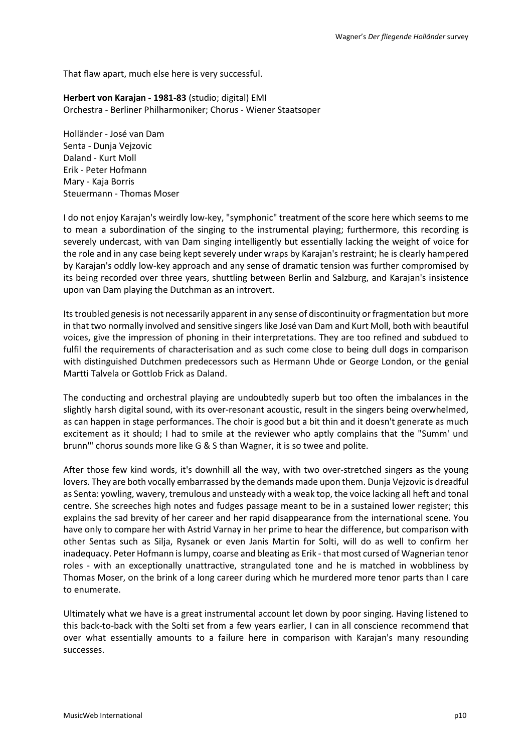That flaw apart, much else here is very successful.

**Herbert von Karajan - 1981-83** (studio; digital) EMI Orchestra - Berliner Philharmoniker; Chorus - Wiener Staatsoper

Holländer - José van Dam Senta - Dunja Vejzovic Daland - Kurt Moll Erik - Peter Hofmann Mary - Kaja Borris Steuermann - Thomas Moser

I do not enjoy Karajan's weirdly low-key, "symphonic" treatment of the score here which seems to me to mean a subordination of the singing to the instrumental playing; furthermore, this recording is severely undercast, with van Dam singing intelligently but essentially lacking the weight of voice for the role and in any case being kept severely under wraps by Karajan's restraint; he is clearly hampered by Karajan's oddly low-key approach and any sense of dramatic tension was further compromised by its being recorded over three years, shuttling between Berlin and Salzburg, and Karajan's insistence upon van Dam playing the Dutchman as an introvert.

Its troubled genesis is not necessarily apparent in any sense of discontinuity or fragmentation but more in that two normally involved and sensitive singers like José van Dam and Kurt Moll, both with beautiful voices, give the impression of phoning in their interpretations. They are too refined and subdued to fulfil the requirements of characterisation and as such come close to being dull dogs in comparison with distinguished Dutchmen predecessors such as Hermann Uhde or George London, or the genial Martti Talvela or Gottlob Frick as Daland.

The conducting and orchestral playing are undoubtedly superb but too often the imbalances in the slightly harsh digital sound, with its over-resonant acoustic, result in the singers being overwhelmed, as can happen in stage performances. The choir is good but a bit thin and it doesn't generate as much excitement as it should; I had to smile at the reviewer who aptly complains that the "Summ' und brunn'" chorus sounds more like G & S than Wagner, it is so twee and polite.

After those few kind words, it's downhill all the way, with two over-stretched singers as the young lovers. They are both vocally embarrassed by the demands made upon them. Dunja Vejzovic is dreadful as Senta: yowling, wavery, tremulous and unsteady with a weak top, the voice lacking all heft and tonal centre. She screeches high notes and fudges passage meant to be in a sustained lower register; this explains the sad brevity of her career and her rapid disappearance from the international scene. You have only to compare her with Astrid Varnay in her prime to hear the difference, but comparison with other Sentas such as Silja, Rysanek or even Janis Martin for Solti, will do as well to confirm her inadequacy. Peter Hofmann islumpy, coarse and bleating as Erik - that most cursed of Wagnerian tenor roles - with an exceptionally unattractive, strangulated tone and he is matched in wobbliness by Thomas Moser, on the brink of a long career during which he murdered more tenor parts than I care to enumerate.

Ultimately what we have is a great instrumental account let down by poor singing. Having listened to this back-to-back with the Solti set from a few years earlier, I can in all conscience recommend that over what essentially amounts to a failure here in comparison with Karajan's many resounding successes.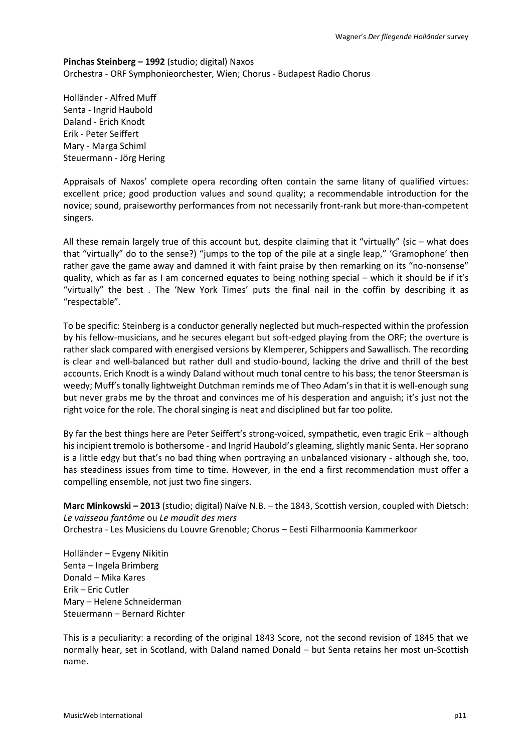**Pinchas Steinberg – 1992** (studio; digital) Naxos Orchestra - ORF Symphonieorchester, Wien; Chorus - Budapest Radio Chorus

Holländer - Alfred Muff Senta - Ingrid Haubold Daland - Erich Knodt Erik - Peter Seiffert Mary - Marga Schiml Steuermann - Jörg Hering

Appraisals of Naxos' complete opera recording often contain the same litany of qualified virtues: excellent price; good production values and sound quality; a recommendable introduction for the novice; sound, praiseworthy performances from not necessarily front-rank but more-than-competent singers.

All these remain largely true of this account but, despite claiming that it "virtually" (sic – what does that "virtually" do to the sense?) "jumps to the top of the pile at a single leap," 'Gramophone' then rather gave the game away and damned it with faint praise by then remarking on its "no-nonsense" quality, which as far as I am concerned equates to being nothing special – which it should be if it's "virtually" the best . The 'New York Times' puts the final nail in the coffin by describing it as "respectable".

To be specific: Steinberg is a conductor generally neglected but much-respected within the profession by his fellow-musicians, and he secures elegant but soft-edged playing from the ORF; the overture is rather slack compared with energised versions by Klemperer, Schippers and Sawallisch. The recording is clear and well-balanced but rather dull and studio-bound, lacking the drive and thrill of the best accounts. Erich Knodt is a windy Daland without much tonal centre to his bass; the tenor Steersman is weedy; Muff's tonally lightweight Dutchman reminds me of Theo Adam's in that it is well-enough sung but never grabs me by the throat and convinces me of his desperation and anguish; it's just not the right voice for the role. The choral singing is neat and disciplined but far too polite.

By far the best things here are Peter Seiffert's strong-voiced, sympathetic, even tragic Erik – although his incipient tremolo is bothersome - and Ingrid Haubold's gleaming, slightly manic Senta. Her soprano is a little edgy but that's no bad thing when portraying an unbalanced visionary - although she, too, has steadiness issues from time to time. However, in the end a first recommendation must offer a compelling ensemble, not just two fine singers.

**Marc Minkowski – 2013** (studio; digital) Naïve N.B. – the 1843, Scottish version, coupled with Dietsch: *Le vaisseau fantôme* ou *Le maudit des mers* Orchestra - Les Musiciens du Louvre Grenoble; Chorus – Eesti Filharmoonia Kammerkoor

Holländer – Evgeny Nikitin Senta – Ingela Brimberg Donald – Mika Kares Erik – Eric Cutler Mary – Helene Schneiderman Steuermann – Bernard Richter

This is a peculiarity: a recording of the original 1843 Score, not the second revision of 1845 that we normally hear, set in Scotland, with Daland named Donald – but Senta retains her most un-Scottish name.